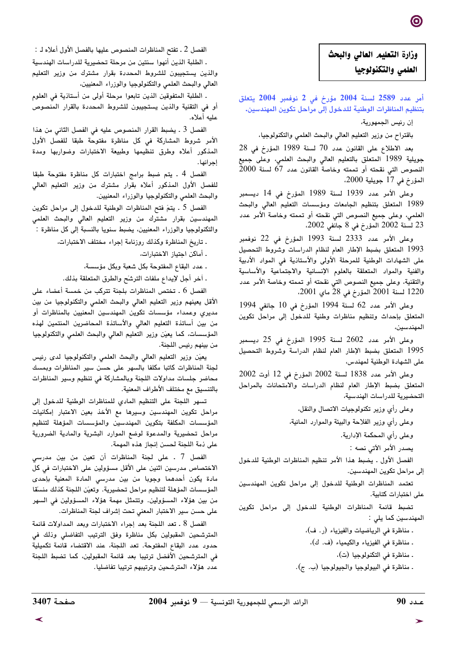## وزارة التعليم العالى والبحث العلمي والتكنولوجيا

أمر عدد 2589 لسنة 2004 مؤرخ فى 2 نوفمبر 2004 يتعلق بتنظيم المناظرات الوطنية للدخول إلى مراحل تكوين المهندسين.

إن رئيس الجمهورية،

باقتراح من وزير التعليم العالي والبحث العلمي والتكنولوجيا،

بعد الاطلاع على القانون عدد 70 لسنة 1989 المؤرخ في 28 جويلية 1989 المتعلق بالتعليم العالي والبحث العلمي، وعلى جميع النصوص التي نقحته أو تممته وخاصة القانون عدد 67 لسنة 2000 المؤرخ في 17 جويلية 2000.

وعلى الأمر عدد 1939 لسنة 1989 المؤرخ في 14 ديسمبر 1989 المتعلق بتنظيم الجامعات ومؤسسات التعليم العالي والبحث العلمي، وعلى جميع النصوص التي نقحته أو تممته وخاصة الأمر عدد 23 لسنة 2002 المؤرخ في 8 جانفي 2002،

وعلى الأمر عدد 2333 لسنة 1993 المؤرخ في 22 نوفمبر 1993 المتعلق بضبط الإطار العام لنظام الدراسات وشروط التحصيل على الشهادات الوطنية للمرحلة الأولى والأستاذية فى المواد الأدبية والفنية والمواد المتعلقة بالعلوم الإنسانية والاجتماعية والأساسية والتقنية، وعلى جميع النصوص التي نقحته أو تممته وخاصة الأمر عدد 1220 لسنة 2001 المؤرخ في 28 ماي 2001.

وعلى الأمر عدد 62 لسنة 1994 المؤرخ في 10 جانفي 1994 المتعلق بإحداث وتنظيم مناظرات وطنية للدخول إلى مراحل تكوين المهندسين،

وعلى الأمر عدد 2602 لسنة 1995 المؤرخ في 25 ديسمبر 1995 المتعلق بضبط الإطار العام لنظام الدراسة وشروط التحصيل على الشهادة الوطنية لمهندس،

وعلى الأمر عدد 1838 لسنة 2002 المؤرخ في 12 أوت 2002 المتعلق بضبط الإطار العام لنظام الدراسات والامتحانات بالمراحل التحضيرية للدراسات الهندسية،

وعلى رأي وزير تكنولوجيات الاتصال والنقل،

وعلى رأى وزير الفلاحة والبيئة والموارد المائية،

وعلى رأي المحكمة الإدارية.

يصدر الأمر الآتي نصه :

الفصل الأول . يضبط هذا الأمر تنظيم المناظرات الوطنية للدخول إلى مراحل تكوين المهندسين.

تعتمد المناظرات الوطنية للدخول إلى مراحل تكوين المهندسين على اختبارات كتابية.

تضبط قائمة المناظرات الوطنية للدخول إلى مراحل تكوين المهندسين كما يلى :

. مناظرة في الرياضيات والفيزياء (ر. ف)،

- . مناظرة في الفيزياء والكيمياء (ف. ك)،
	- . مناظرة في التكنولوجيا (ت)،
- . مناظرة في البيولوجيا والجيولوجيا (ب. ج).

الفصل 2 ـ تفتح المناظرات المنصوص عليها بالفصل الأول أعلاه لـ :

. الطلبة الذين أنهوا سنتين من مرحلة تحضيرية للدراسات الهندسية والذين يستجيبون للشروط المحددة بقرار مشترك من وزير التعليم العالى والبحث العلمى والتكنولوجيا والوزراء المعنيين،

. الطلبة المتفوقين الذين تابعوا مرحلة أولى من أستاذية في العلوم أو في التقنية والذين يستجيبون للشروط المحددة بالقرار المنصوص عليه أعلاه.

الفصل 3 . يضبط القرار المنصوص عليه في الفصل الثاني من هذا الأمر شروط المشاركة فى كل مناظرة مفتوحة طبقا للفصل الأول المذكور أعلاه وطرق تنظيمها وطبيعة الاختبارات وضواربها ومدة إجرائها.

الفصل 4 . يتم ضبط برامج اختبارات كل مناظرة مفتوحة طبقا للفصل الأول المذكور أعلاه بقرار مشترك من وزير التعليم العالى والبحث العلمي والتكنولوجيا والوزراء المعنيين.

الفصل 5 . يتمّ فتح المناظرات الوطنية للدخول إلى مراحل تكوين المهندسين بقرار مشترك من وزير التعليم العالي والبحث العلمي والتكنولوجيا والوزراء المعنيين، يضبط سنويا بالنسبة إلى كل مناظرة :

. تاريخ المناظرة وكذلك روزنامة إجراء مختلف الاختبارات،

. أماكن اجتياز الاختبارات،

. عدد البقاع المفتوحة بكل شعبة وبكل مؤسسة،

ـ أخر أجل لإيداع ملفات الترشح والطرق المتعلقة بذلك.

الفصل 6 . تختص المناظرات بلجنة تتركب من خمسة أعضاء على الأقل يعينهم وزير التعليم العالي والبحث العلمى والتكنولوجيا من بين مديري وعمداء مؤسسات تكوين المهندسين المعنيين بالمناظرات أو من بين أساتذة التعليم العالى والأساتذة المحاضرين المنتمين لهذه المؤسسات، كما يعيّن وزير التعليم العالى والبحث العلمى والتكنولوجيا من بينهم رئيس اللجنة.

يعيّن وزير التعليم العالي والبحث العلمي والتكنولوجيا لدى رئيس لجنة المناظرات كاتبا مكلفا بالسهر على حسن سير المناظرات وبمسك محاضر جلسات مداولات اللجنة وبالمشاركة في تنظيم وسير المناظرات بالتنسيق مع مختلف الأطراف المعنية.

تسهر اللجنة على التنظيم المادى للمناظرات الوطنية للدخول إلى مراحل تكوين المهندسين وسيرها مع الأخذ بعين الاعتبار إمكانيات المؤسسات المكلفة بتكوين المهندسين والمؤسسات المؤهلة لتنظيم مراحل تحضيرية والمدعوة لوضع الموارد البشرية والمادية الضرورية على ذمة اللجنة لحسن إنجاز هذه المهمة.

الفصل 7 ـ على لجنة المناظرات أن تعين من بين مدرسى الاختصاص مدرسين اثنين على الأقل مسؤولين على الاختبارات في كل مادة يكون أحدهما وجوبا من بين مدرسى المادة المعنية بإحدى المؤسسات المؤهلة لتنظيم مراحل تحضيرية. وتعيّن اللجنة كذلك منسقا من بين هؤلاء المسؤولين. وتتمثل مهمة هؤلاء المسؤولين في السهر على حسن سير الاختبار المعني تحت إشراف لجنة المناظرات.

الفصل 8 . تعد اللجنة بعد إجراء الاختبارات وبعد المداولات قائمة المترشحين المقبولين بكل مناظرة وفق الترتيب التفاضلي وذلك في حدود عدد البقاع المفتوحة. تعد اللجنة، عند الاقتضاء قائمة تكميلية في المترشحين الأفضل ترتيبا بعد قائمة المقبولين، كما تضبط اللجنة عدد هؤلاء المترشحين وترتيبهم ترتيبا تفاضليا.